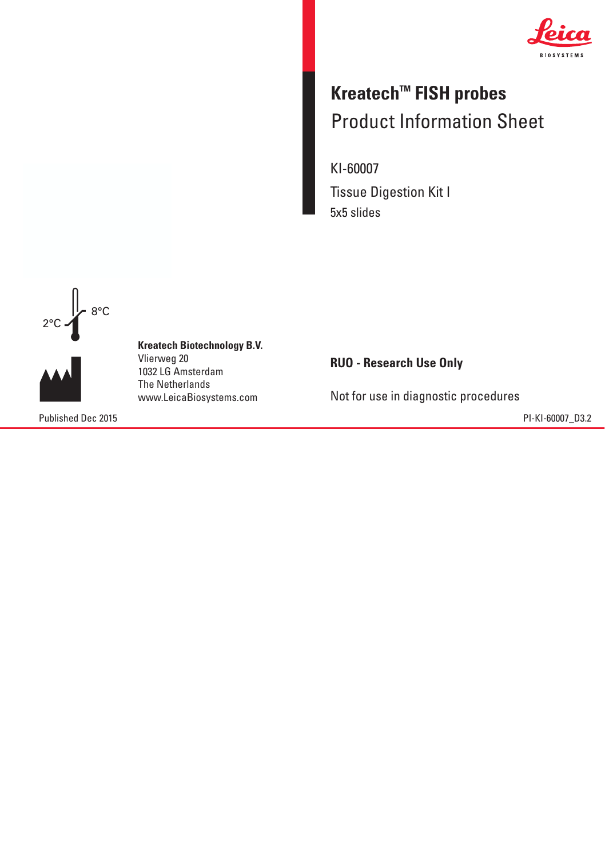

## **Kreatech™ FISH probes** Product Information Sheet Product Information Sheet

KI-60007 Tissue Digestion Kit I 5x5 slides



**Kreatech Biotechnology B.V. Kreatech Biotechnology B.V.** Vlierweg 20 Vlierweg 20 1032 LG Amsterdam The Netherlands 1032 LG AmsterdamThe Netherlands www.LeicaBiosystems.com www.LeicaBiosystems.com

Published Dec 2015 PI-KI-60007\_D3.2

**RUO - Research Use Only**

Not for use in diagnostic procedures